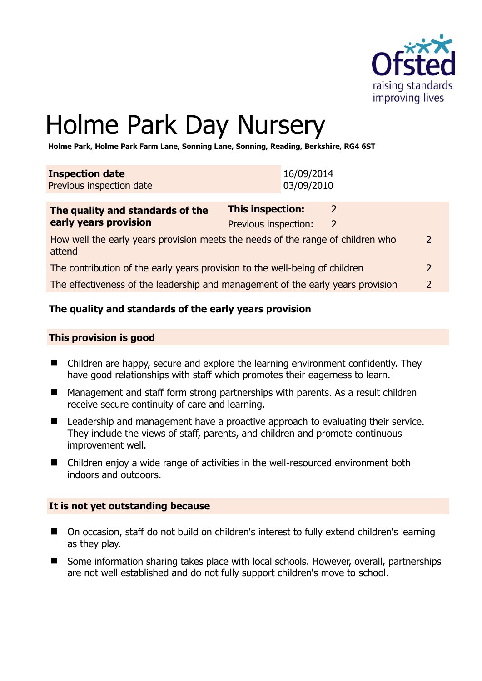

 $\overline{2}$ 

# Holme Park Day Nursery

**Holme Park, Holme Park Farm Lane, Sonning Lane, Sonning, Reading, Berkshire, RG4 6ST** 

| <b>Inspection date</b><br>Previous inspection date                                        |                                                 | 16/09/2014<br>03/09/2010 |   |  |
|-------------------------------------------------------------------------------------------|-------------------------------------------------|--------------------------|---|--|
| The quality and standards of the<br>early years provision                                 | <b>This inspection:</b><br>Previous inspection: |                          | 2 |  |
| How well the early years provision meets the needs of the range of children who<br>attend |                                                 |                          |   |  |

|  | The contribution of the early years provision to the well-being of children |  |
|--|-----------------------------------------------------------------------------|--|
|--|-----------------------------------------------------------------------------|--|

The effectiveness of the leadership and management of the early years provision 2

#### **The quality and standards of the early years provision**

#### **This provision is good**

- Children are happy, secure and explore the learning environment confidently. They have good relationships with staff which promotes their eagerness to learn.
- Management and staff form strong partnerships with parents. As a result children receive secure continuity of care and learning.
- Leadership and management have a proactive approach to evaluating their service. They include the views of staff, parents, and children and promote continuous improvement well.
- Children enjoy a wide range of activities in the well-resourced environment both indoors and outdoors.

#### **It is not yet outstanding because**

- On occasion, staff do not build on children's interest to fully extend children's learning as they play.
- Some information sharing takes place with local schools. However, overall, partnerships are not well established and do not fully support children's move to school.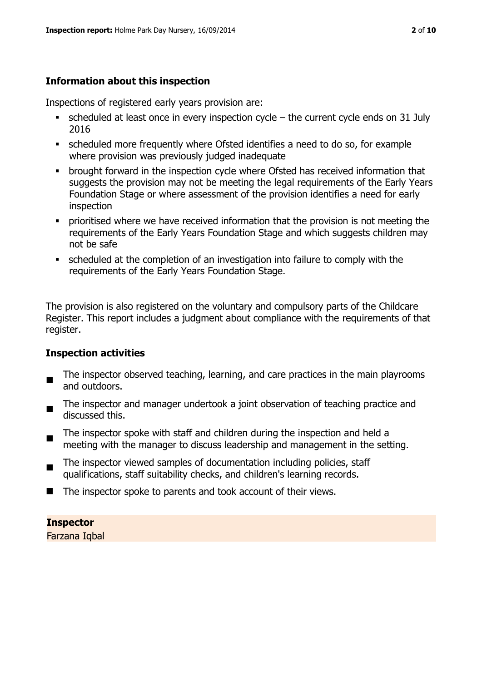### **Information about this inspection**

Inspections of registered early years provision are:

- $\bullet$  scheduled at least once in every inspection cycle the current cycle ends on 31 July 2016
- scheduled more frequently where Ofsted identifies a need to do so, for example where provision was previously judged inadequate
- **•** brought forward in the inspection cycle where Ofsted has received information that suggests the provision may not be meeting the legal requirements of the Early Years Foundation Stage or where assessment of the provision identifies a need for early inspection
- **•** prioritised where we have received information that the provision is not meeting the requirements of the Early Years Foundation Stage and which suggests children may not be safe
- scheduled at the completion of an investigation into failure to comply with the requirements of the Early Years Foundation Stage.

The provision is also registered on the voluntary and compulsory parts of the Childcare Register. This report includes a judgment about compliance with the requirements of that register.

#### **Inspection activities**

- $\blacksquare$ The inspector observed teaching, learning, and care practices in the main playrooms and outdoors.
- The inspector and manager undertook a joint observation of teaching practice and discussed this.
- $\blacksquare$ The inspector spoke with staff and children during the inspection and held a meeting with the manager to discuss leadership and management in the setting.
- $\blacksquare$ The inspector viewed samples of documentation including policies, staff qualifications, staff suitability checks, and children's learning records.
- $\blacksquare$  The inspector spoke to parents and took account of their views.

#### **Inspector**

Farzana Iqbal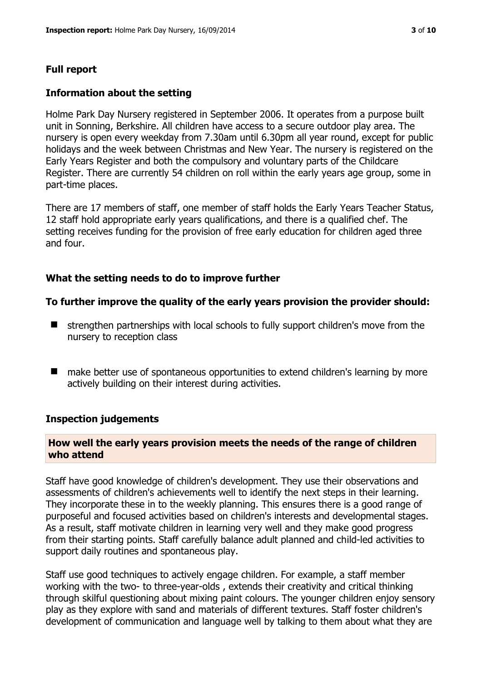#### **Full report**

#### **Information about the setting**

Holme Park Day Nursery registered in September 2006. It operates from a purpose built unit in Sonning, Berkshire. All children have access to a secure outdoor play area. The nursery is open every weekday from 7.30am until 6.30pm all year round, except for public holidays and the week between Christmas and New Year. The nursery is registered on the Early Years Register and both the compulsory and voluntary parts of the Childcare Register. There are currently 54 children on roll within the early years age group, some in part-time places.

There are 17 members of staff, one member of staff holds the Early Years Teacher Status, 12 staff hold appropriate early years qualifications, and there is a qualified chef. The setting receives funding for the provision of free early education for children aged three and four.

#### **What the setting needs to do to improve further**

#### **To further improve the quality of the early years provision the provider should:**

- $\blacksquare$  strengthen partnerships with local schools to fully support children's move from the nursery to reception class
- make better use of spontaneous opportunities to extend children's learning by more actively building on their interest during activities.

#### **Inspection judgements**

#### **How well the early years provision meets the needs of the range of children who attend**

Staff have good knowledge of children's development. They use their observations and assessments of children's achievements well to identify the next steps in their learning. They incorporate these in to the weekly planning. This ensures there is a good range of purposeful and focused activities based on children's interests and developmental stages. As a result, staff motivate children in learning very well and they make good progress from their starting points. Staff carefully balance adult planned and child-led activities to support daily routines and spontaneous play.

Staff use good techniques to actively engage children. For example, a staff member working with the two- to three-year-olds , extends their creativity and critical thinking through skilful questioning about mixing paint colours. The younger children enjoy sensory play as they explore with sand and materials of different textures. Staff foster children's development of communication and language well by talking to them about what they are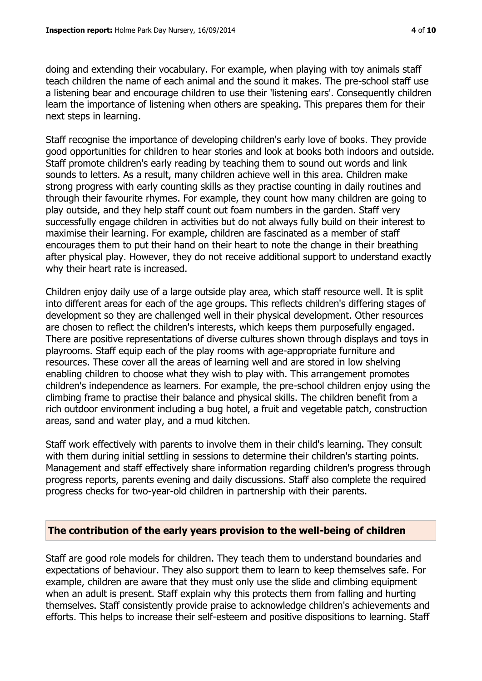doing and extending their vocabulary. For example, when playing with toy animals staff teach children the name of each animal and the sound it makes. The pre-school staff use a listening bear and encourage children to use their 'listening ears'. Consequently children learn the importance of listening when others are speaking. This prepares them for their next steps in learning.

Staff recognise the importance of developing children's early love of books. They provide good opportunities for children to hear stories and look at books both indoors and outside. Staff promote children's early reading by teaching them to sound out words and link sounds to letters. As a result, many children achieve well in this area. Children make strong progress with early counting skills as they practise counting in daily routines and through their favourite rhymes. For example, they count how many children are going to play outside, and they help staff count out foam numbers in the garden. Staff very successfully engage children in activities but do not always fully build on their interest to maximise their learning. For example, children are fascinated as a member of staff encourages them to put their hand on their heart to note the change in their breathing after physical play. However, they do not receive additional support to understand exactly why their heart rate is increased.

Children enjoy daily use of a large outside play area, which staff resource well. It is split into different areas for each of the age groups. This reflects children's differing stages of development so they are challenged well in their physical development. Other resources are chosen to reflect the children's interests, which keeps them purposefully engaged. There are positive representations of diverse cultures shown through displays and toys in playrooms. Staff equip each of the play rooms with age-appropriate furniture and resources. These cover all the areas of learning well and are stored in low shelving enabling children to choose what they wish to play with. This arrangement promotes children's independence as learners. For example, the pre-school children enjoy using the climbing frame to practise their balance and physical skills. The children benefit from a rich outdoor environment including a bug hotel, a fruit and vegetable patch, construction areas, sand and water play, and a mud kitchen.

Staff work effectively with parents to involve them in their child's learning. They consult with them during initial settling in sessions to determine their children's starting points. Management and staff effectively share information regarding children's progress through progress reports, parents evening and daily discussions. Staff also complete the required progress checks for two-year-old children in partnership with their parents.

#### **The contribution of the early years provision to the well-being of children**

Staff are good role models for children. They teach them to understand boundaries and expectations of behaviour. They also support them to learn to keep themselves safe. For example, children are aware that they must only use the slide and climbing equipment when an adult is present. Staff explain why this protects them from falling and hurting themselves. Staff consistently provide praise to acknowledge children's achievements and efforts. This helps to increase their self-esteem and positive dispositions to learning. Staff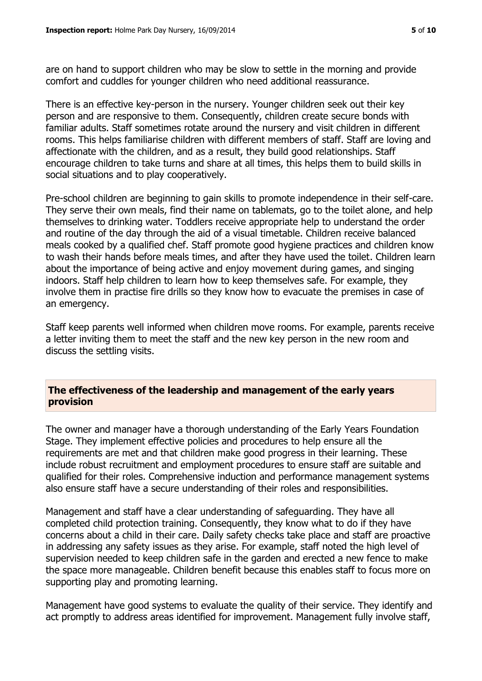are on hand to support children who may be slow to settle in the morning and provide comfort and cuddles for younger children who need additional reassurance.

There is an effective key-person in the nursery. Younger children seek out their key person and are responsive to them. Consequently, children create secure bonds with familiar adults. Staff sometimes rotate around the nursery and visit children in different rooms. This helps familiarise children with different members of staff. Staff are loving and affectionate with the children, and as a result, they build good relationships. Staff encourage children to take turns and share at all times, this helps them to build skills in social situations and to play cooperatively.

Pre-school children are beginning to gain skills to promote independence in their self-care. They serve their own meals, find their name on tablemats, go to the toilet alone, and help themselves to drinking water. Toddlers receive appropriate help to understand the order and routine of the day through the aid of a visual timetable. Children receive balanced meals cooked by a qualified chef. Staff promote good hygiene practices and children know to wash their hands before meals times, and after they have used the toilet. Children learn about the importance of being active and enjoy movement during games, and singing indoors. Staff help children to learn how to keep themselves safe. For example, they involve them in practise fire drills so they know how to evacuate the premises in case of an emergency.

Staff keep parents well informed when children move rooms. For example, parents receive a letter inviting them to meet the staff and the new key person in the new room and discuss the settling visits.

#### **The effectiveness of the leadership and management of the early years provision**

The owner and manager have a thorough understanding of the Early Years Foundation Stage. They implement effective policies and procedures to help ensure all the requirements are met and that children make good progress in their learning. These include robust recruitment and employment procedures to ensure staff are suitable and qualified for their roles. Comprehensive induction and performance management systems also ensure staff have a secure understanding of their roles and responsibilities.

Management and staff have a clear understanding of safeguarding. They have all completed child protection training. Consequently, they know what to do if they have concerns about a child in their care. Daily safety checks take place and staff are proactive in addressing any safety issues as they arise. For example, staff noted the high level of supervision needed to keep children safe in the garden and erected a new fence to make the space more manageable. Children benefit because this enables staff to focus more on supporting play and promoting learning.

Management have good systems to evaluate the quality of their service. They identify and act promptly to address areas identified for improvement. Management fully involve staff,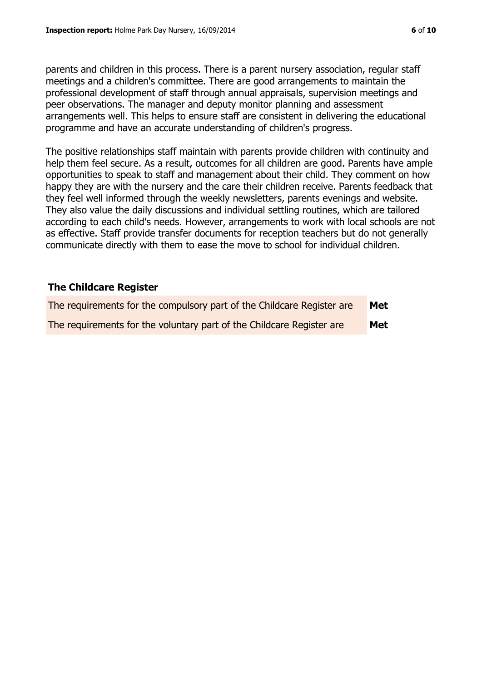parents and children in this process. There is a parent nursery association, regular staff meetings and a children's committee. There are good arrangements to maintain the professional development of staff through annual appraisals, supervision meetings and peer observations. The manager and deputy monitor planning and assessment arrangements well. This helps to ensure staff are consistent in delivering the educational programme and have an accurate understanding of children's progress.

The positive relationships staff maintain with parents provide children with continuity and help them feel secure. As a result, outcomes for all children are good. Parents have ample opportunities to speak to staff and management about their child. They comment on how happy they are with the nursery and the care their children receive. Parents feedback that they feel well informed through the weekly newsletters, parents evenings and website. They also value the daily discussions and individual settling routines, which are tailored according to each child's needs. However, arrangements to work with local schools are not as effective. Staff provide transfer documents for reception teachers but do not generally communicate directly with them to ease the move to school for individual children.

### **The Childcare Register**

| The requirements for the compulsory part of the Childcare Register are | Met |
|------------------------------------------------------------------------|-----|
| The requirements for the voluntary part of the Childcare Register are  | Met |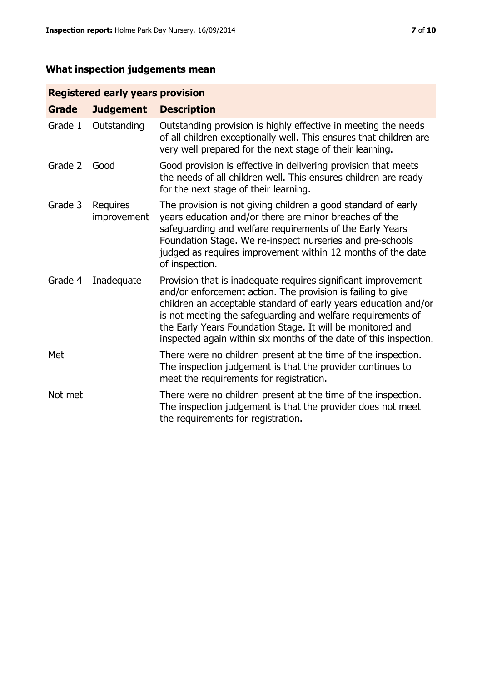## **What inspection judgements mean**

#### **Registered early years provision**

| <b>Grade</b> | <b>Judgement</b>               | <b>Description</b>                                                                                                                                                                                                                                                                                                                                                                                |
|--------------|--------------------------------|---------------------------------------------------------------------------------------------------------------------------------------------------------------------------------------------------------------------------------------------------------------------------------------------------------------------------------------------------------------------------------------------------|
| Grade 1      | Outstanding                    | Outstanding provision is highly effective in meeting the needs<br>of all children exceptionally well. This ensures that children are<br>very well prepared for the next stage of their learning.                                                                                                                                                                                                  |
| Grade 2      | Good                           | Good provision is effective in delivering provision that meets<br>the needs of all children well. This ensures children are ready<br>for the next stage of their learning.                                                                                                                                                                                                                        |
| Grade 3      | <b>Requires</b><br>improvement | The provision is not giving children a good standard of early<br>years education and/or there are minor breaches of the<br>safeguarding and welfare requirements of the Early Years<br>Foundation Stage. We re-inspect nurseries and pre-schools<br>judged as requires improvement within 12 months of the date<br>of inspection.                                                                 |
| Grade 4      | Inadequate                     | Provision that is inadequate requires significant improvement<br>and/or enforcement action. The provision is failing to give<br>children an acceptable standard of early years education and/or<br>is not meeting the safeguarding and welfare requirements of<br>the Early Years Foundation Stage. It will be monitored and<br>inspected again within six months of the date of this inspection. |
| Met          |                                | There were no children present at the time of the inspection.<br>The inspection judgement is that the provider continues to<br>meet the requirements for registration.                                                                                                                                                                                                                            |
| Not met      |                                | There were no children present at the time of the inspection.<br>The inspection judgement is that the provider does not meet<br>the requirements for registration.                                                                                                                                                                                                                                |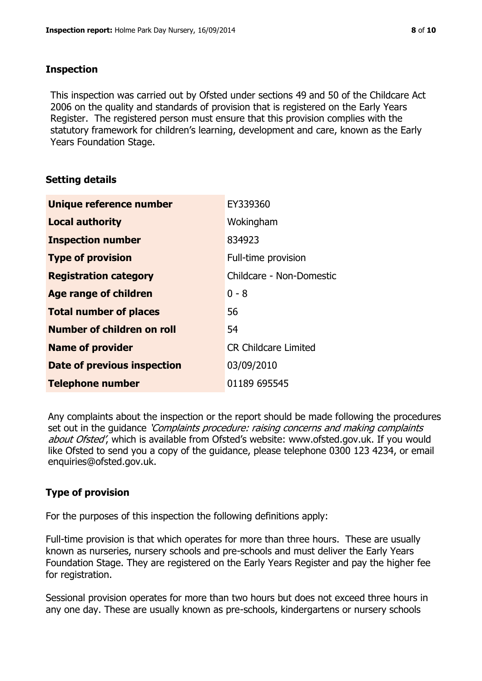#### **Inspection**

This inspection was carried out by Ofsted under sections 49 and 50 of the Childcare Act 2006 on the quality and standards of provision that is registered on the Early Years Register. The registered person must ensure that this provision complies with the statutory framework for children's learning, development and care, known as the Early Years Foundation Stage.

#### **Setting details**

| Unique reference number       | EY339360                    |
|-------------------------------|-----------------------------|
| <b>Local authority</b>        | Wokingham                   |
| <b>Inspection number</b>      | 834923                      |
| <b>Type of provision</b>      | Full-time provision         |
| <b>Registration category</b>  | Childcare - Non-Domestic    |
| <b>Age range of children</b>  | $0 - 8$                     |
| <b>Total number of places</b> | 56                          |
| Number of children on roll    | 54                          |
| <b>Name of provider</b>       | <b>CR Childcare Limited</b> |
| Date of previous inspection   | 03/09/2010                  |
| <b>Telephone number</b>       | 01189 695545                |

Any complaints about the inspection or the report should be made following the procedures set out in the guidance *'Complaints procedure: raising concerns and making complaints* about Ofsted', which is available from Ofsted's website: www.ofsted.gov.uk. If you would like Ofsted to send you a copy of the guidance, please telephone 0300 123 4234, or email enquiries@ofsted.gov.uk.

#### **Type of provision**

For the purposes of this inspection the following definitions apply:

Full-time provision is that which operates for more than three hours. These are usually known as nurseries, nursery schools and pre-schools and must deliver the Early Years Foundation Stage. They are registered on the Early Years Register and pay the higher fee for registration.

Sessional provision operates for more than two hours but does not exceed three hours in any one day. These are usually known as pre-schools, kindergartens or nursery schools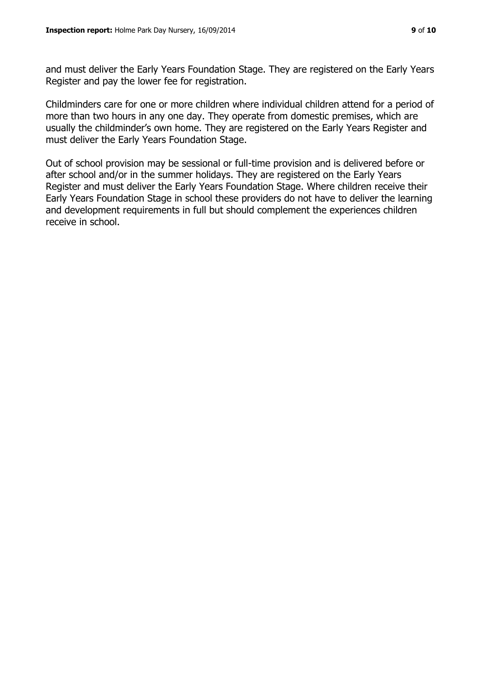and must deliver the Early Years Foundation Stage. They are registered on the Early Years Register and pay the lower fee for registration.

Childminders care for one or more children where individual children attend for a period of more than two hours in any one day. They operate from domestic premises, which are usually the childminder's own home. They are registered on the Early Years Register and must deliver the Early Years Foundation Stage.

Out of school provision may be sessional or full-time provision and is delivered before or after school and/or in the summer holidays. They are registered on the Early Years Register and must deliver the Early Years Foundation Stage. Where children receive their Early Years Foundation Stage in school these providers do not have to deliver the learning and development requirements in full but should complement the experiences children receive in school.